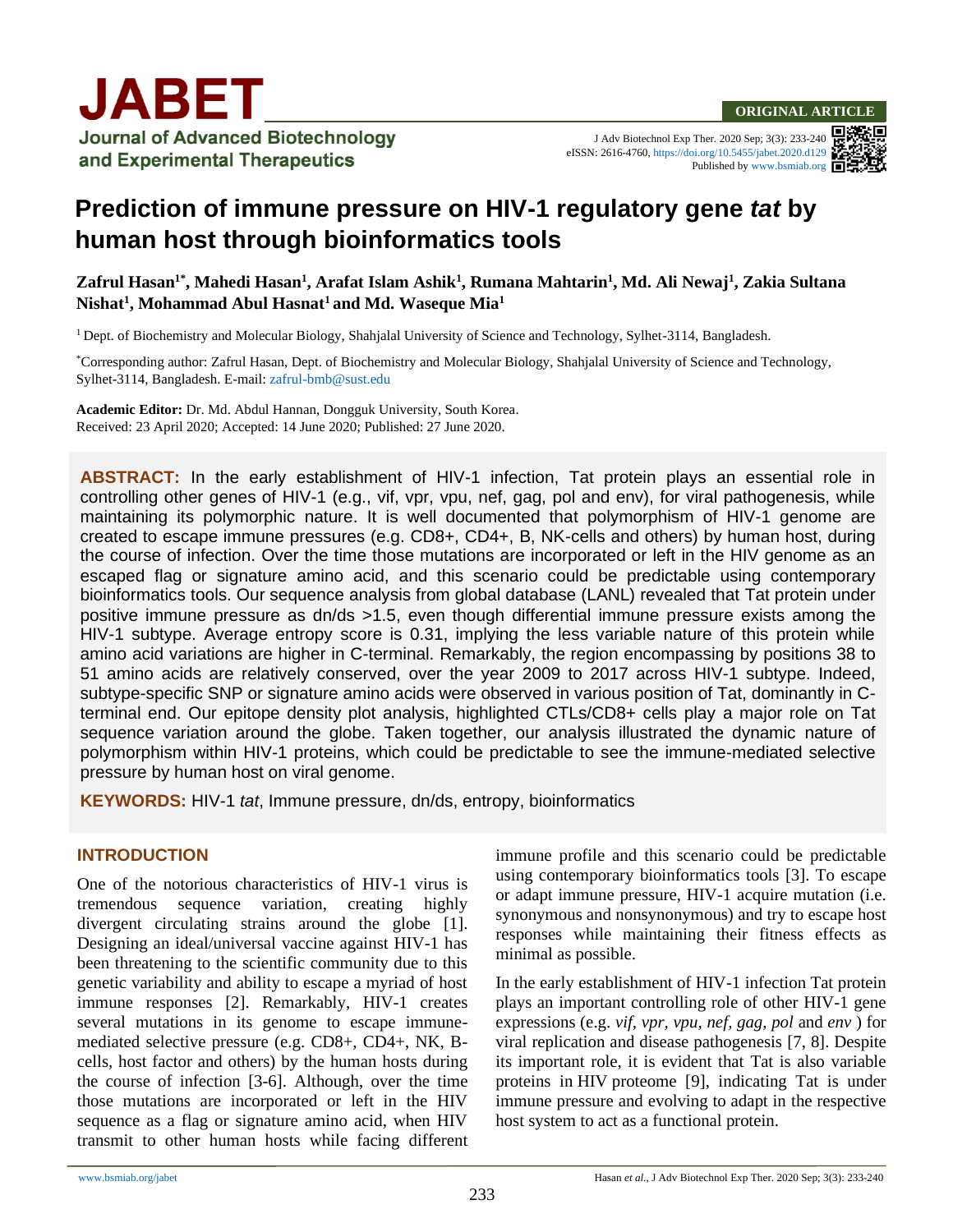

and Experimental Therapeutics

J Adv Biotechnol Exp Ther. 2020 Sep; 3(3): 233-240 eISSN: 2616-4760[, https://doi.org/10.5455/jabet.2020.d129](https://doi.org/10.5455/jabet.2020.d129) Published b[y www.bsmiab.org](http://www.bsmiab.org/)



# **Prediction of immune pressure on HIV-1 regulatory gene** *tat* **by human host through bioinformatics tools**

## **Zafrul Hasan1\* , Mahedi Hasan<sup>1</sup> , Arafat Islam Ashik<sup>1</sup> , Rumana Mahtarin<sup>1</sup> , Md. Ali Newaj<sup>1</sup> , Zakia Sultana Nishat<sup>1</sup> , Mohammad Abul Hasnat<sup>1</sup>and Md. Waseque Mia<sup>1</sup>**

<sup>1</sup>Dept. of Biochemistry and Molecular Biology, Shahjalal University of Science and Technology, Sylhet-3114, Bangladesh.

\*Corresponding author: Zafrul Hasan, Dept. of Biochemistry and Molecular Biology, Shahjalal University of Science and Technology, Sylhet-3114, Bangladesh. E-mail[: zafrul-bmb@sust.edu](mailto:zafrul-bmb@sust.edu)

**Academic Editor:** Dr. Md. Abdul Hannan, Dongguk University, South Korea. Received: 23 April 2020; Accepted: 14 June 2020; Published: 27 June 2020.

**ABSTRACT:** In the early establishment of HIV-1 infection, Tat protein plays an essential role in controlling other genes of HIV-1 (e.g., vif, vpr, vpu, nef, gag, pol and env), for viral pathogenesis, while maintaining its polymorphic nature. It is well documented that polymorphism of HIV-1 genome are created to escape immune pressures (e.g. CD8+, CD4+, B, NK-cells and others) by human host, during the course of infection. Over the time those mutations are incorporated or left in the HIV genome as an escaped flag or signature amino acid, and this scenario could be predictable using contemporary bioinformatics tools. Our sequence analysis from global database (LANL) revealed that Tat protein under positive immune pressure as dn/ds >1.5, even though differential immune pressure exists among the HIV-1 subtype. Average entropy score is 0.31, implying the less variable nature of this protein while amino acid variations are higher in C-terminal. Remarkably, the region encompassing by positions 38 to 51 amino acids are relatively conserved, over the year 2009 to 2017 across HIV-1 subtype. Indeed, subtype-specific SNP or signature amino acids were observed in various position of Tat, dominantly in Cterminal end. Our epitope density plot analysis, highlighted CTLs/CD8+ cells play a major role on Tat sequence variation around the globe. Taken together, our analysis illustrated the dynamic nature of polymorphism within HIV-1 proteins, which could be predictable to see the immune-mediated selective pressure by human host on viral genome.

**KEYWORDS:** HIV-1 *tat*, Immune pressure, dn/ds, entropy, bioinformatics

## **INTRODUCTION**

One of the notorious characteristics of HIV-1 virus is tremendous sequence variation, creating highly divergent circulating strains around the globe [\[1\]](#page-6-0). Designing an ideal/universal vaccine against HIV-1 has been threatening to the scientific community due to this genetic variability and ability to escape a myriad of host immune responses [\[2\]](#page-6-1). Remarkably, HIV-1 creates several mutations in its genome to escape immunemediated selective pressure (e.g. CD8+, CD4+, NK, Bcells, host factor and others) by the human hosts during the course of infection [\[3-6\]](#page-6-2). Although, over the time those mutations are incorporated or left in the HIV sequence as a flag or signature amino acid, when HIV transmit to other human hosts while facing different immune profile and this scenario could be predictable using contemporary bioinformatics tools [\[3\]](#page-6-2). To escape or adapt immune pressure, HIV-1 acquire mutation (i.e. synonymous and nonsynonymous) and try to escape host responses while maintaining their fitness effects as minimal as possible.

In the early establishment of HIV-1 infection Tat protein plays an important controlling role of other HIV-1 gene expressions (e.g. *vif, vpr, vpu, nef, gag, pol* and *env* ) for viral replication and disease pathogenesis [\[7,](#page-6-3) [8\]](#page-7-0). Despite its important role, it is evident that Tat is also variable proteins in HIV proteome [\[9\]](#page-7-1), indicating Tat is under immune pressure and evolving to adapt in the respective host system to act as a functional protein.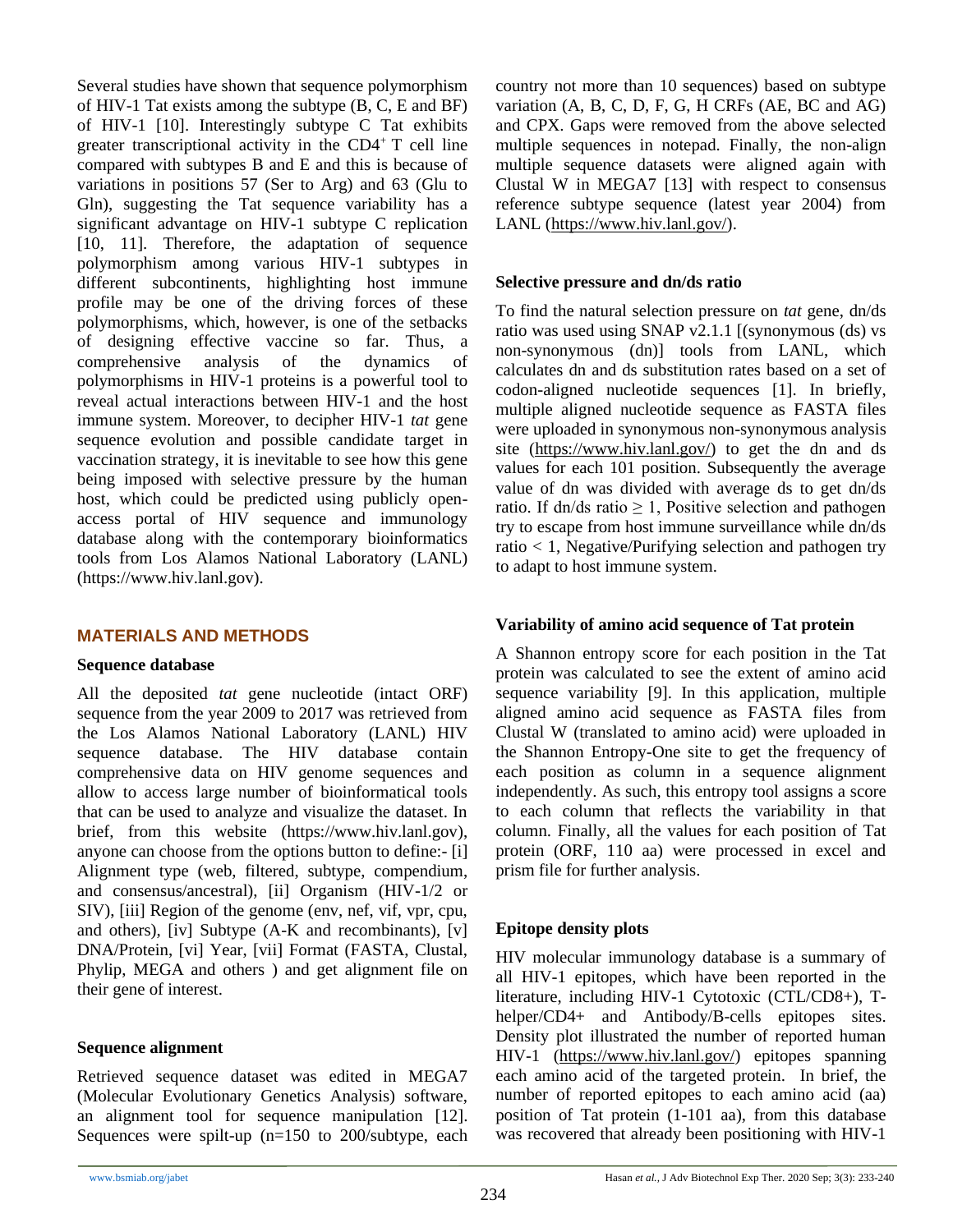Several studies have shown that sequence polymorphism of HIV-1 Tat exists among the subtype (B, C, E and BF) of HIV-1 [\[10\]](#page-7-2). Interestingly subtype C Tat exhibits greater transcriptional activity in the  $CD4^+$  T cell line compared with subtypes B and E and this is because of variations in positions 57 (Ser to Arg) and 63 (Glu to Gln), suggesting the Tat sequence variability has a significant advantage on HIV-1 subtype C replication [\[10,](#page-7-2) [11\]](#page-7-3). Therefore, the adaptation of sequence polymorphism among various HIV-1 subtypes in different subcontinents, highlighting host immune profile may be one of the driving forces of these polymorphisms, which, however, is one of the setbacks of designing effective vaccine so far. Thus, a comprehensive analysis of the dynamics of polymorphisms in HIV-1 proteins is a powerful tool to reveal actual interactions between HIV-1 and the host immune system. Moreover, to decipher HIV-1 *tat* gene sequence evolution and possible candidate target in vaccination strategy, it is inevitable to see how this gene being imposed with selective pressure by the human host, which could be predicted using publicly openaccess portal of HIV sequence and immunology database along with the contemporary bioinformatics tools from Los Alamos National Laboratory (LANL) [\(https://www.hiv.lanl.gov\)](https://www.hiv.lanl.gov/).

# **MATERIALS AND METHODS**

#### **Sequence database**

All the deposited *tat* gene nucleotide (intact ORF) sequence from the year 2009 to 2017 was retrieved from the Los Alamos National Laboratory (LANL) HIV sequence database. The HIV database contain comprehensive data on HIV genome sequences and allow to access large number of bioinformatical tools that can be used to analyze and visualize the dataset. In brief, from this website (https://www.hiv.lanl.gov), anyone can choose from the options button to define:- [i] Alignment type (web, filtered, subtype, compendium, and consensus/ancestral), [ii] Organism (HIV-1/2 or SIV), [iii] Region of the genome (env, nef, vif, vpr, cpu, and others), [iv] Subtype (A-K and recombinants), [v] DNA/Protein, [vi] Year, [vii] Format (FASTA, Clustal, Phylip, MEGA and others ) and get alignment file on their gene of interest.

## **Sequence alignment**

Retrieved sequence dataset was edited in MEGA7 (Molecular Evolutionary Genetics Analysis) software, an alignment tool for sequence manipulation [\[12\]](#page-7-4). Sequences were spilt-up (n=150 to 200/subtype, each country not more than 10 sequences) based on subtype variation (A, B, C, D, F, G, H CRFs (AE, BC and AG) and CPX. Gaps were removed from the above selected multiple sequences in notepad. Finally, the non-align multiple sequence datasets were aligned again with Clustal W in MEGA7 [\[13\]](#page-7-5) with respect to consensus reference subtype sequence (latest year 2004) from LANL [\(https://www.hiv.lanl.gov/\)](https://www.hiv.lanl.gov/content/sequence/NEWALIGN/align.html#consensus).

## **Selective pressure and dn/ds ratio**

To find the natural selection pressure on *tat* gene, dn/ds ratio was used using SNAP v2.1.1 [(synonymous (ds) vs non-synonymous (dn)] tools from LANL, which calculates dn and ds substitution rates based on a set of codon-aligned nucleotide sequences [\[1\]](#page-6-0). In briefly, multiple aligned nucleotide sequence as FASTA files were uploaded in synonymous non-synonymous analysis site [\(https://www.hiv.lanl.gov/\)](https://www.hiv.lanl.gov/) to get the dn and ds values for each 101 position. Subsequently the average value of dn was divided with average ds to get dn/ds ratio. If dn/ds ratio  $\geq 1$ , Positive selection and pathogen try to escape from host immune surveillance while dn/ds ratio < 1, Negative/Purifying selection and pathogen try to adapt to host immune system.

# **Variability of amino acid sequence of Tat protein**

A Shannon entropy score for each position in the Tat protein was calculated to see the extent of amino acid sequence variability [\[9\]](#page-7-1). In this application, multiple aligned amino acid sequence as FASTA files from Clustal W (translated to amino acid) were uploaded in the Shannon Entropy-One site to get the frequency of each position as column in a sequence alignment independently. As such, this entropy tool assigns a score to each column that reflects the variability in that column. Finally, all the values for each position of Tat protein (ORF, 110 aa) were processed in excel and prism file for further analysis.

# **Epitope density plots**

HIV molecular immunology database is a summary of all HIV-1 epitopes, which have been reported in the literature, including HIV-1 Cytotoxic (CTL/CD8+), Thelper/CD4+ and Antibody/B-cells epitopes sites. Density plot illustrated the number of reported human HIV-1 [\(https://www.hiv.lanl.gov/\)](https://www.hiv.lanl.gov/content/immunology/index) epitopes spanning each amino acid of the targeted protein. In brief, the number of reported epitopes to each amino acid (aa) position of Tat protein (1-101 aa), from this database was recovered that already been positioning with HIV-1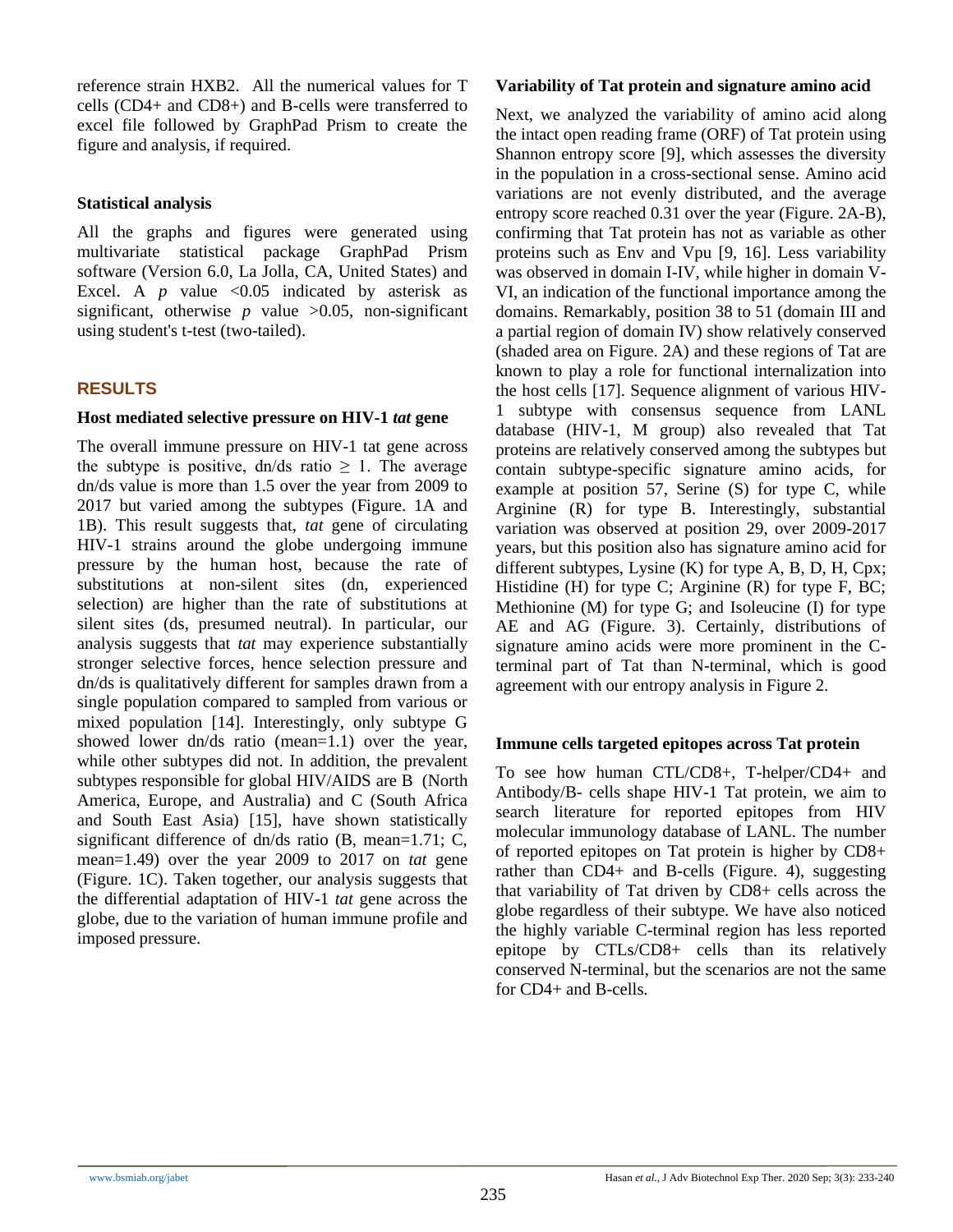reference strain HXB2. All the numerical values for T cells (CD4+ and CD8+) and B-cells were transferred to excel file followed by GraphPad Prism to create the figure and analysis, if required.

#### **Statistical analysis**

All the graphs and figures were generated using multivariate statistical package GraphPad Prism software (Version 6.0, La Jolla, CA, United States) and Excel. A  $p$  value <0.05 indicated by asterisk as significant, otherwise  $p$  value  $>0.05$ , non-significant using student's t-test (two-tailed).

# **RESULTS**

#### **Host mediated selective pressure on HIV-1** *tat* **gene**

The overall immune pressure on HIV-1 tat gene across the subtype is positive, dn/ds ratio  $\geq 1$ . The average dn/ds value is more than 1.5 over the year from 2009 to 2017 but varied among the subtypes (Figure. 1A and 1B). This result suggests that, *tat* gene of circulating HIV-1 strains around the globe undergoing immune pressure by the human host, because the rate of substitutions at non-silent sites (dn, experienced selection) are higher than the rate of substitutions at silent sites (ds, presumed neutral). In particular, our analysis suggests that *tat* may experience substantially stronger selective forces, hence selection pressure and dn/ds is qualitatively different for samples drawn from a single population compared to sampled from various or mixed population [\[14\]](#page-7-6). Interestingly, only subtype G showed lower dn/ds ratio (mean=1.1) over the year, while other subtypes did not. In addition, the prevalent subtypes responsible for global HIV/AIDS are B (North America, Europe, and Australia) and C (South Africa and South East Asia) [\[15\]](#page-7-7), have shown statistically significant difference of dn/ds ratio (B, mean=1.71; C, mean=1.49) over the year 2009 to 2017 on *tat* gene (Figure. 1C). Taken together, our analysis suggests that the differential adaptation of HIV-1 *tat* gene across the globe, due to the variation of human immune profile and imposed pressure.

#### **Variability of Tat protein and signature amino acid**

Next, we analyzed the variability of amino acid along the intact open reading frame (ORF) of Tat protein using Shannon entropy score [\[9\]](#page-7-1), which assesses the diversity in the population in a cross-sectional sense. Amino acid variations are not evenly distributed, and the average entropy score reached 0.31 over the year (Figure. 2A-B), confirming that Tat protein has not as variable as other proteins such as Env and Vpu [\[9,](#page-7-1) [16\]](#page-7-8). Less variability was observed in domain I-IV, while higher in domain V-VI, an indication of the functional importance among the domains. Remarkably, position 38 to 51 (domain III and a partial region of domain IV) show relatively conserved (shaded area on Figure. 2A) and these regions of Tat are known to play a role for functional internalization into the host cells [\[17\]](#page-7-9). Sequence alignment of various HIV-1 subtype with consensus sequence from LANL database (HIV-1, M group) also revealed that Tat proteins are relatively conserved among the subtypes but contain subtype-specific signature amino acids, for example at position 57, Serine (S) for type C, while Arginine (R) for type B. Interestingly, substantial variation was observed at position 29, over 2009-2017 years, but this position also has signature amino acid for different subtypes, Lysine  $(K)$  for type A, B, D, H, Cpx; Histidine  $(H)$  for type C; Arginine  $(R)$  for type F, BC; Methionine (M) for type G; and Isoleucine (I) for type AE and AG (Figure. 3). Certainly, distributions of signature amino acids were more prominent in the Cterminal part of Tat than N-terminal, which is good agreement with our entropy analysis in Figure 2.

## **Immune cells targeted epitopes across Tat protein**

To see how human CTL/CD8+, T-helper/CD4+ and Antibody/B- cells shape HIV-1 Tat protein, we aim to search literature for reported epitopes from HIV molecular immunology database of LANL. The number of reported epitopes on Tat protein is higher by CD8+ rather than CD4+ and B-cells (Figure. 4), suggesting that variability of Tat driven by CD8+ cells across the globe regardless of their subtype. We have also noticed the highly variable C-terminal region has less reported epitope by CTLs/CD8+ cells than its relatively conserved N-terminal, but the scenarios are not the same for CD4+ and B-cells.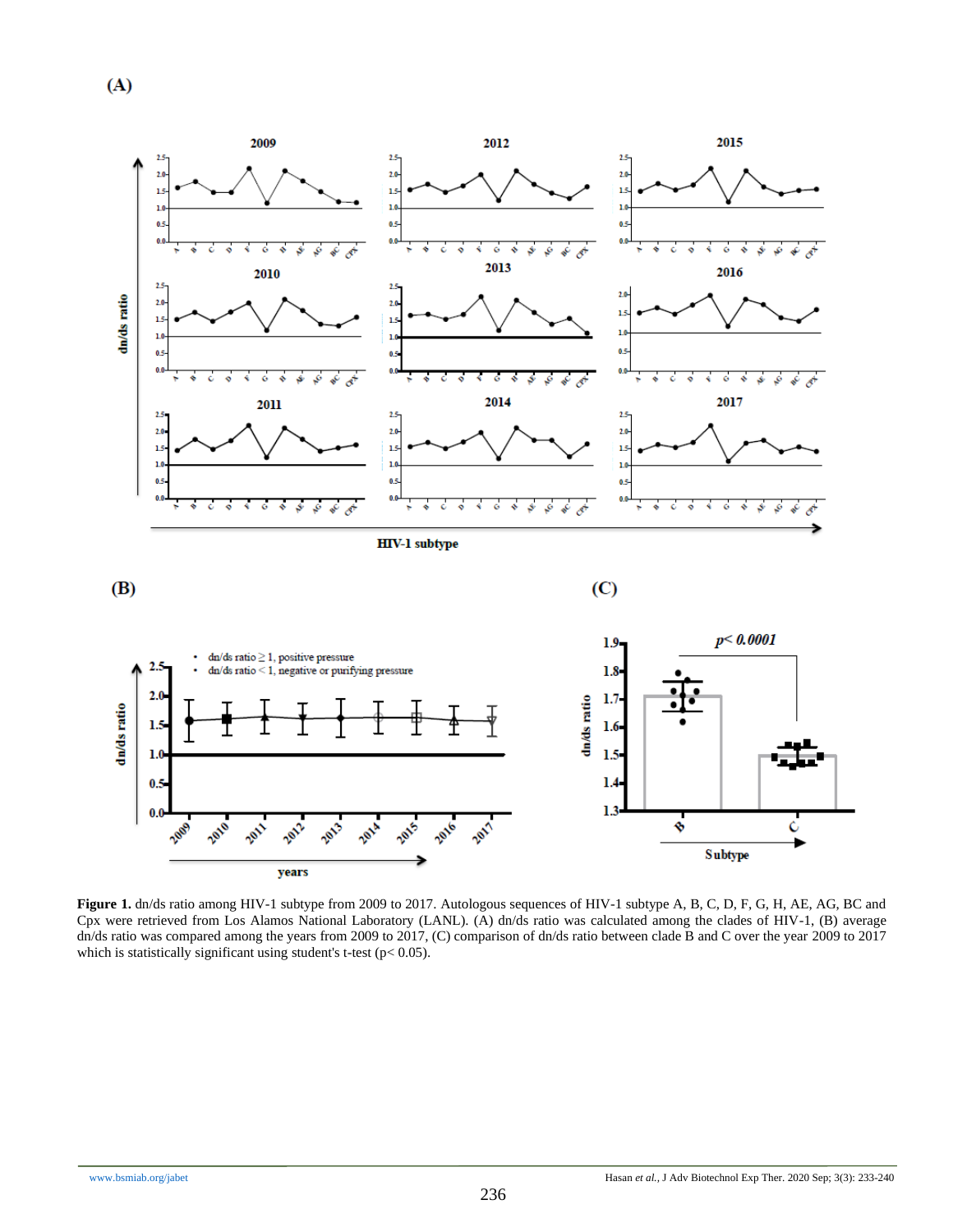



**Figure 1.** dn/ds ratio among HIV-1 subtype from 2009 to 2017. Autologous sequences of HIV-1 subtype A, B, C, D, F, G, H, AE, AG, BC and Cpx were retrieved from Los Alamos National Laboratory (LANL). (A) dn/ds ratio was calculated among the clades of HIV-1, (B) average dn/ds ratio was compared among the years from 2009 to 2017, (C) comparison of dn/ds ratio between clade B and C over the year 2009 to 2017 which is statistically significant using student's t-test ( $p$ < 0.05).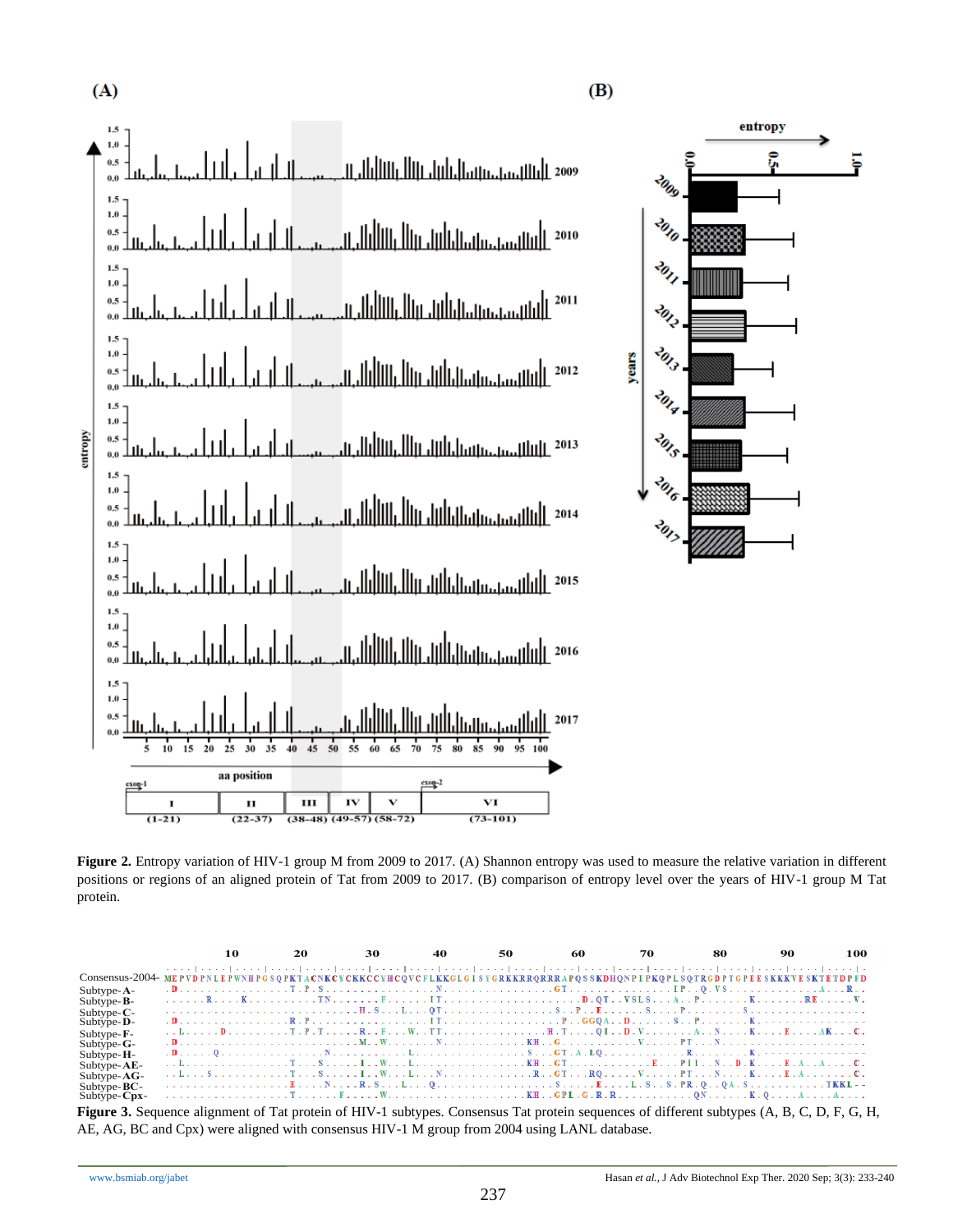



**Figure 2.** Entropy variation of HIV-1 group M from 2009 to 2017. (A) Shannon entropy was used to measure the relative variation in different positions or regions of an aligned protein of Tat from 2009 to 2017. (B) comparison of entropy level over the years of HIV-1 group M Tat protein.

|                                                                                                                                                   |  | 10 | 20 30 |  | -40 | 50 60 70                                                                                                                                                                                                |  | $\sim$ 80 |  | 90 | 100 |
|---------------------------------------------------------------------------------------------------------------------------------------------------|--|----|-------|--|-----|---------------------------------------------------------------------------------------------------------------------------------------------------------------------------------------------------------|--|-----------|--|----|-----|
|                                                                                                                                                   |  |    |       |  |     | والمتميل بمنبر المتميز المتميز المتميز المتميز المتميز المتميز المتميز المتميز المتميز المتمر المتميز لمتميز المتميز                                                                                    |  |           |  |    |     |
| CONSENSUS-2004-MEPVDPNLEPWNHPGSQPKTACNKCYCKKCCYHCQVCFLKKGLGISYGRKKRRQRRRAPQSSKDHQNPIPKQPLSQTRGDPTGPEESKKKVESKTETDPFD                              |  |    |       |  |     |                                                                                                                                                                                                         |  |           |  |    |     |
| Subtype- $A-$                                                                                                                                     |  |    |       |  |     |                                                                                                                                                                                                         |  |           |  |    |     |
| $Subtype-B-$                                                                                                                                      |  |    |       |  |     |                                                                                                                                                                                                         |  |           |  |    |     |
| Subtype- $C$ -                                                                                                                                    |  |    |       |  |     |                                                                                                                                                                                                         |  |           |  |    |     |
| Subtype-D-                                                                                                                                        |  |    |       |  |     |                                                                                                                                                                                                         |  |           |  |    |     |
| Subtype-F-                                                                                                                                        |  |    |       |  |     |                                                                                                                                                                                                         |  |           |  |    |     |
| $Subtype-G-$                                                                                                                                      |  |    |       |  |     |                                                                                                                                                                                                         |  |           |  |    |     |
| Subtype-H-                                                                                                                                        |  |    |       |  |     |                                                                                                                                                                                                         |  |           |  |    |     |
| Subtype-AE-                                                                                                                                       |  |    |       |  |     |                                                                                                                                                                                                         |  |           |  |    |     |
| Subtype- $AG-$                                                                                                                                    |  |    |       |  |     | $\dots L \dots S \dots \dots \dots T \dots S \dots I \dots W \dots L \dots N \dots \dots \dots \dots R \dots G \dots R0 \dots N \dots N \dots \dots P T \dots N \dots K \dots L A \dots \dots \dots C.$ |  |           |  |    |     |
| Subtype- $BC-$                                                                                                                                    |  |    |       |  |     | ER.SL0EL.SR.OOA.STKKL--                                                                                                                                                                                 |  |           |  |    |     |
| Subtype-Cpx-                                                                                                                                      |  |    |       |  |     |                                                                                                                                                                                                         |  |           |  |    |     |
| <b>Figure 3.</b> Sequence alignment of Tat protein of HIV-1 subtypes. Consensus Tat protein sequences of different subtypes (A, B, C, D, F, G, H, |  |    |       |  |     |                                                                                                                                                                                                         |  |           |  |    |     |

AE, AG, BC and Cpx) were aligned with consensus HIV-1 M group from 2004 using LANL database.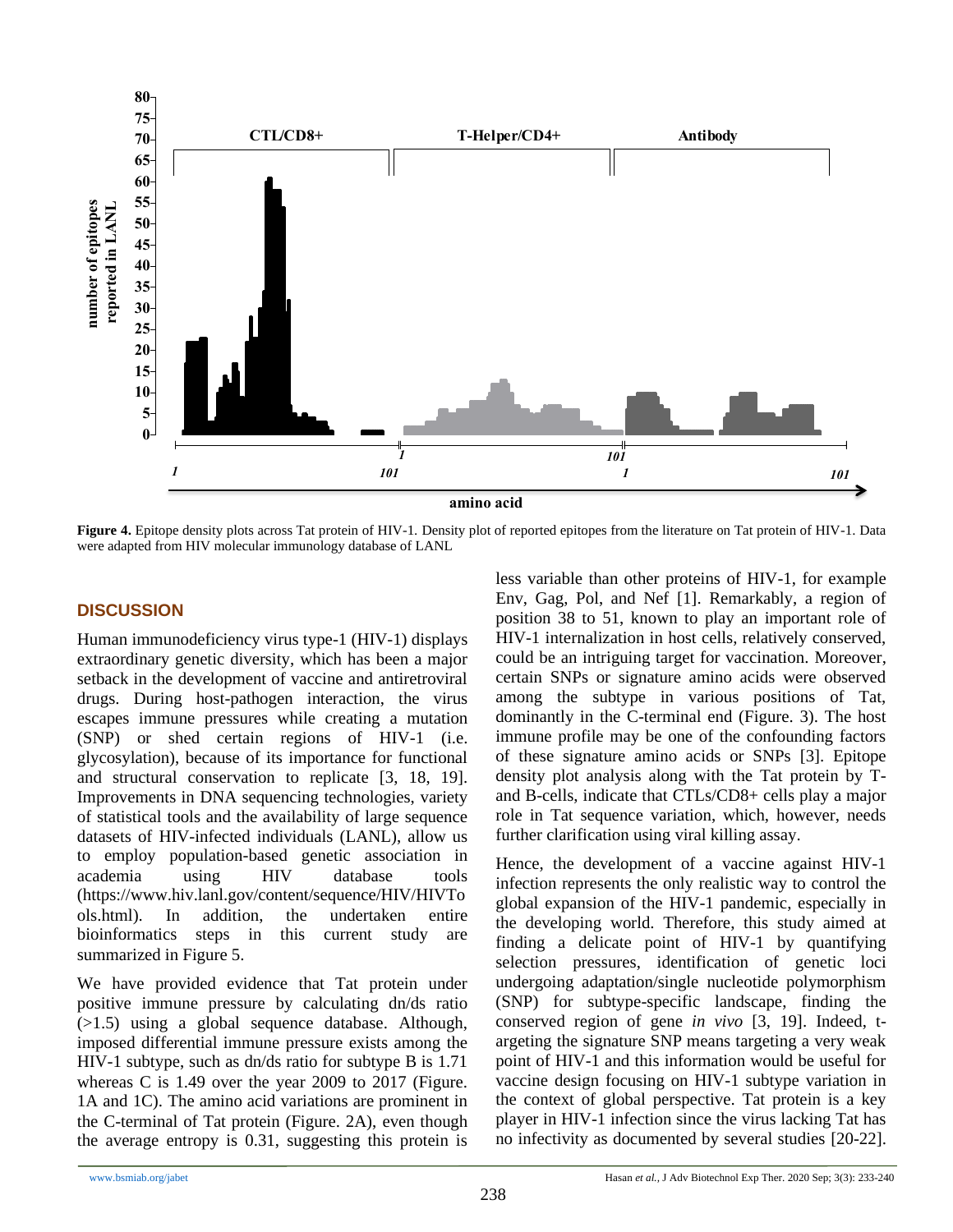

**Figure 4.** Epitope density plots across Tat protein of HIV-1. Density plot of reported epitopes from the literature on Tat protein of HIV-1. Data were adapted from HIV molecular immunology database of LANL

# **DISCUSSION**

Human immunodeficiency virus type-1 (HIV-1) displays extraordinary genetic diversity, which has been a major setback in the development of vaccine and antiretroviral drugs. During host-pathogen interaction, the virus escapes immune pressures while creating a mutation (SNP) or shed certain regions of HIV-1 (i.e. glycosylation), because of its importance for functional and structural conservation to replicate [\[3,](#page-6-2) [18,](#page-7-10) [19\]](#page-7-11). Improvements in DNA sequencing technologies, variety of statistical tools and the availability of large sequence datasets of HIV-infected individuals (LANL), allow us to employ population-based genetic association in academia using HIV database tools (https://www.hiv.lanl.gov/content/sequence/HIV/HIVTo ols.html). In addition, the undertaken entire bioinformatics steps in this current study are summarized in Figure 5.

We have provided evidence that Tat protein under positive immune pressure by calculating dn/ds ratio (>1.5) using a global sequence database. Although, imposed differential immune pressure exists among the HIV-1 subtype, such as dn/ds ratio for subtype B is 1.71 whereas C is 1.49 over the year 2009 to 2017 (Figure. 1A and 1C). The amino acid variations are prominent in the C-terminal of Tat protein (Figure. 2A), even though the average entropy is 0.31, suggesting this protein is

less variable than other proteins of HIV-1, for example Env, Gag, Pol, and Nef [\[1\]](#page-6-0). Remarkably, a region of position 38 to 51, known to play an important role of HIV-1 internalization in host cells, relatively conserved, could be an intriguing target for vaccination. Moreover, certain SNPs or signature amino acids were observed among the subtype in various positions of Tat, dominantly in the C-terminal end (Figure. 3). The host immune profile may be one of the confounding factors of these signature amino acids or SNPs [\[3\]](#page-6-2). Epitope density plot analysis along with the Tat protein by Tand B-cells, indicate that CTLs/CD8+ cells play a major role in Tat sequence variation, which, however, needs further clarification using viral killing assay.

Hence, the development of a vaccine against HIV-1 infection represents the only realistic way to control the global expansion of the HIV-1 pandemic, especially in the developing world. Therefore, this study aimed at finding a delicate point of HIV-1 by quantifying selection pressures, identification of genetic loci undergoing adaptation/single nucleotide polymorphism (SNP) for subtype-specific landscape, finding the conserved region of gene *in vivo* [\[3,](#page-6-2) [19\]](#page-7-11). Indeed, targeting the signature SNP means targeting a very weak point of HIV-1 and this information would be useful for vaccine design focusing on HIV-1 subtype variation in the context of global perspective. Tat protein is a key player in HIV-1 infection since the virus lacking Tat has no infectivity as documented by several studies [\[20-22\]](#page-7-12).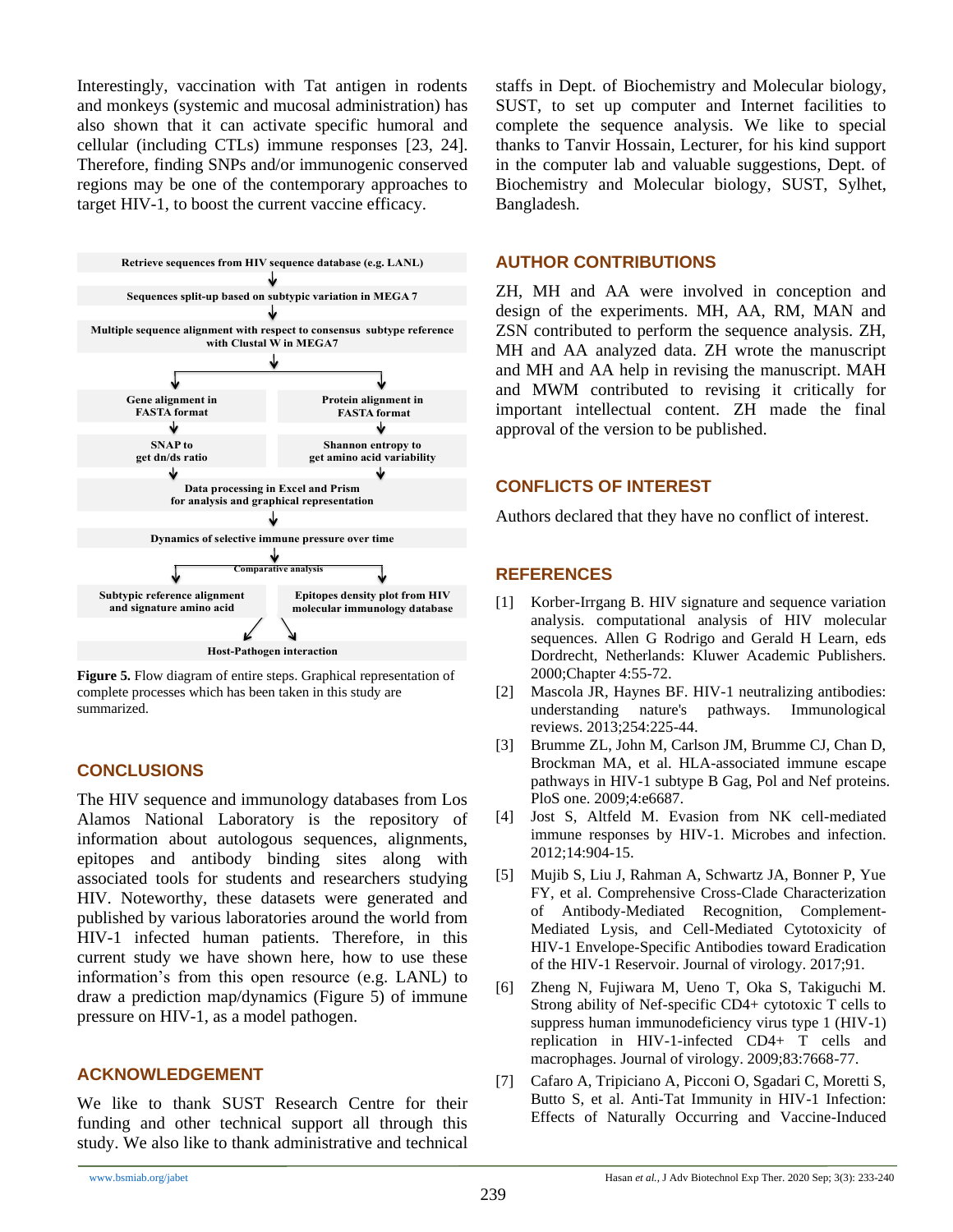Interestingly, vaccination with Tat antigen in rodents and monkeys (systemic and mucosal administration) has also shown that it can activate specific humoral and cellular (including CTLs) immune responses [\[23,](#page-7-13) [24\]](#page-7-14). Therefore, finding SNPs and/or immunogenic conserved regions may be one of the contemporary approaches to target HIV-1, to boost the current vaccine efficacy.



**Figure 5.** Flow diagram of entire steps. Graphical representation of complete processes which has been taken in this study are summarized.

## **CONCLUSIONS**

The HIV sequence and immunology databases from Los Alamos National Laboratory is the repository of information about autologous sequences, alignments, epitopes and antibody binding sites along with associated tools for students and researchers studying HIV. Noteworthy, these datasets were generated and published by various laboratories around the world from HIV-1 infected human patients. Therefore, in this current study we have shown here, how to use these information's from this open resource (e.g. LANL) to draw a prediction map/dynamics (Figure 5) of immune pressure on HIV-1, as a model pathogen.

#### **ACKNOWLEDGEMENT**

We like to thank SUST Research Centre for their funding and other technical support all through this study. We also like to thank administrative and technical

staffs in Dept. of Biochemistry and Molecular biology, SUST, to set up computer and Internet facilities to complete the sequence analysis. We like to special thanks to Tanvir Hossain, Lecturer, for his kind support in the computer lab and valuable suggestions, Dept. of Biochemistry and Molecular biology, SUST, Sylhet, Bangladesh.

# **AUTHOR CONTRIBUTIONS**

ZH, MH and AA were involved in conception and design of the experiments. MH, AA, RM, MAN and ZSN contributed to perform the sequence analysis. ZH, MH and AA analyzed data. ZH wrote the manuscript and MH and AA help in revising the manuscript. MAH and MWM contributed to revising it critically for important intellectual content. ZH made the final approval of the version to be published.

## **CONFLICTS OF INTEREST**

Authors declared that they have no conflict of interest.

## **REFERENCES**

- <span id="page-6-0"></span>[1] Korber-Irrgang B. HIV signature and sequence variation analysis. computational analysis of HIV molecular sequences. Allen G Rodrigo and Gerald H Learn, eds Dordrecht, Netherlands: Kluwer Academic Publishers. 2000;Chapter 4:55-72.
- <span id="page-6-1"></span>[2] Mascola JR, Haynes BF. HIV-1 neutralizing antibodies: understanding nature's pathways. Immunological reviews. 2013;254:225-44.
- <span id="page-6-2"></span>[3] Brumme ZL, John M, Carlson JM, Brumme CJ, Chan D, Brockman MA, et al. HLA-associated immune escape pathways in HIV-1 subtype B Gag, Pol and Nef proteins. PloS one. 2009;4:e6687.
- [4] Jost S, Altfeld M. Evasion from NK cell-mediated immune responses by HIV-1. Microbes and infection. 2012;14:904-15.
- [5] Mujib S, Liu J, Rahman A, Schwartz JA, Bonner P, Yue FY, et al. Comprehensive Cross-Clade Characterization of Antibody-Mediated Recognition, Complement-Mediated Lysis, and Cell-Mediated Cytotoxicity of HIV-1 Envelope-Specific Antibodies toward Eradication of the HIV-1 Reservoir. Journal of virology. 2017;91.
- [6] Zheng N, Fujiwara M, Ueno T, Oka S, Takiguchi M. Strong ability of Nef-specific CD4+ cytotoxic T cells to suppress human immunodeficiency virus type 1 (HIV-1) replication in HIV-1-infected CD4+ T cells and macrophages. Journal of virology. 2009;83:7668-77.
- <span id="page-6-3"></span>[7] Cafaro A, Tripiciano A, Picconi O, Sgadari C, Moretti S, Butto S, et al. Anti-Tat Immunity in HIV-1 Infection: